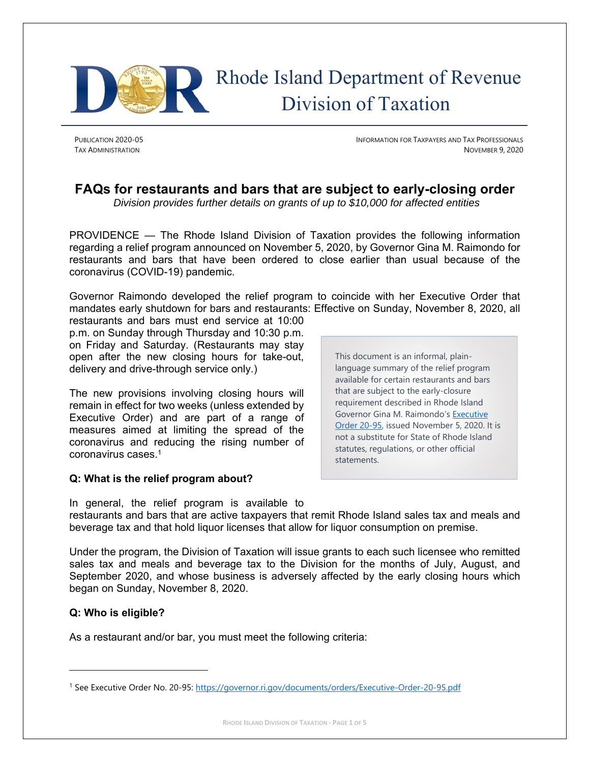

# Rhode Island Department of Revenue Division of Taxation

PUBLICATION 2020-05 INFORMATION FOR TAXPAYERS AND TAX PROFESSIONALS **TAX ADMINISTRATION** NOVEMBER 9, 2020

# **FAQs for restaurants and bars that are subject to early-closing order**

*Division provides further details on grants of up to \$10,000 for affected entities* 

PROVIDENCE — The Rhode Island Division of Taxation provides the following information regarding a relief program announced on November 5, 2020, by Governor Gina M. Raimondo for restaurants and bars that have been ordered to close earlier than usual because of the coronavirus (COVID-19) pandemic.

Governor Raimondo developed the relief program to coincide with her Executive Order that mandates early shutdown for bars and restaurants: Effective on Sunday, November 8, 2020, all

restaurants and bars must end service at 10:00 p.m. on Sunday through Thursday and 10:30 p.m. on Friday and Saturday. (Restaurants may stay open after the new closing hours for take-out, delivery and drive-through service only.)

The new provisions involving closing hours will remain in effect for two weeks (unless extended by Executive Order) and are part of a range of measures aimed at limiting the spread of the coronavirus and reducing the rising number of coronavirus cases.1

# **Q: What is the relief program about?**

This document is an informal, plainlanguage summary of the relief program available for certain restaurants and bars that are subject to the early-closure requirement described in Rhode Island Governor Gina M. Raimondo's Executive Order 20-95, issued November 5, 2020. It is not a substitute for State of Rhode Island statutes, regulations, or other official statements.

In general, the relief program is available to restaurants and bars that are active taxpayers that remit Rhode Island sales tax and meals and beverage tax and that hold liquor licenses that allow for liquor consumption on premise.

Under the program, the Division of Taxation will issue grants to each such licensee who remitted sales tax and meals and beverage tax to the Division for the months of July, August, and September 2020, and whose business is adversely affected by the early closing hours which began on Sunday, November 8, 2020.

# **Q: Who is eligible?**

As a restaurant and/or bar, you must meet the following criteria:

<sup>1</sup> See Executive Order No. 20-95: https://governor.ri.gov/documents/orders/Executive-Order-20-95.pdf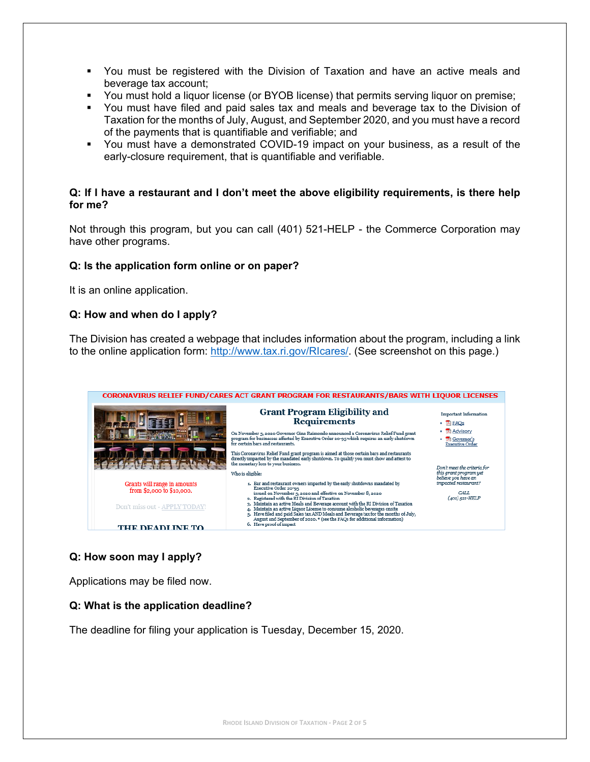- You must be registered with the Division of Taxation and have an active meals and beverage tax account;
- You must hold a liquor license (or BYOB license) that permits serving liquor on premise;
- You must have filed and paid sales tax and meals and beverage tax to the Division of Taxation for the months of July, August, and September 2020, and you must have a record of the payments that is quantifiable and verifiable; and
- You must have a demonstrated COVID-19 impact on your business, as a result of the early-closure requirement, that is quantifiable and verifiable.

#### **Q: If I have a restaurant and I don't meet the above eligibility requirements, is there help for me?**

Not through this program, but you can call (401) 521-HELP - the Commerce Corporation may have other programs.

#### **Q: Is the application form online or on paper?**

It is an online application.

#### **Q: How and when do I apply?**

The Division has created a webpage that includes information about the program, including a link to the online application form: http://www.tax.ri.gov/RIcares/. (See screenshot on this page.)



# **Q: How soon may I apply?**

Applications may be filed now.

#### **Q: What is the application deadline?**

The deadline for filing your application is Tuesday, December 15, 2020.

**RHODE ISLAND DIVISION OF TAXATION ‐ PAGE 2 OF 5**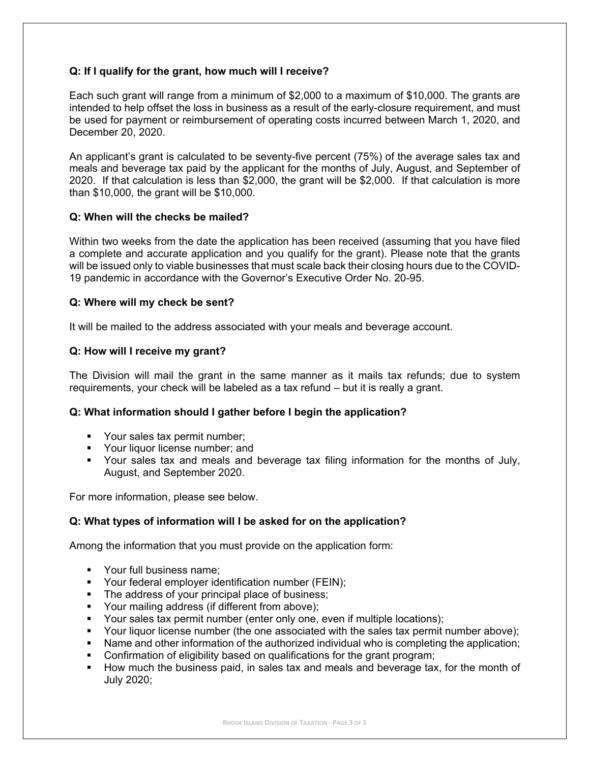# **Q: If I qualify for the grant, how much will I receive?**

Each such grant will range from a minimum of \$2,000 to a maximum of \$10,000. The grants are intended to help offset the loss in business as a result of the early-closure requirement, and must be used for payment or reimbursement of operating costs incurred between March 1, 2020, and December 20, 2020.

An applicant's grant is calculated to be seventy-five percent (75%) of the average sales tax and meals and beverage tax paid by the applicant for the months of July, August, and September of 2020. If that calculation is less than \$2,000, the grant will be \$2,000. If that calculation is more than \$10,000, the grant will be \$10,000.

#### **Q: When will the checks be mailed?**

Within two weeks from the date the application has been received (assuming that you have filed a complete and accurate application and you qualify for the grant). Please note that the grants will be issued only to viable businesses that must scale back their closing hours due to the COVID-19 pandemic in accordance with the Governor's Executive Order No. 20-95.

#### **Q: Where will my check be sent?**

It will be mailed to the address associated with your meals and beverage account.

#### **Q: How will I receive my grant?**

The Division will mail the grant in the same manner as it mails tax refunds; due to system requirements, your check will be labeled as a tax refund – but it is really a grant.

#### **Q: What information should I gather before I begin the application?**

- Your sales tax permit number;
- **•** Your liquor license number; and
- Your sales tax and meals and beverage tax filing information for the months of July, August, and September 2020.

For more information, please see below.

#### **Q: What types of information will I be asked for on the application?**

Among the information that you must provide on the application form:

- Your full business name;
- **•** Your federal employer identification number (FEIN);
- The address of your principal place of business;
- **•** Your mailing address (if different from above);
- Your sales tax permit number (enter only one, even if multiple locations);
- Your liquor license number (the one associated with the sales tax permit number above);
- Name and other information of the authorized individual who is completing the application;
- Confirmation of eligibility based on qualifications for the grant program;
- How much the business paid, in sales tax and meals and beverage tax, for the month of July 2020;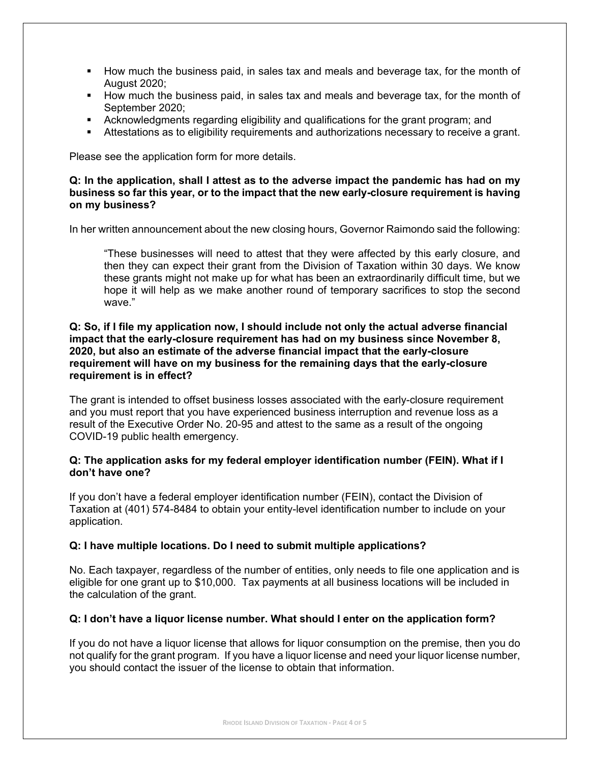- How much the business paid, in sales tax and meals and beverage tax, for the month of August 2020;
- How much the business paid, in sales tax and meals and beverage tax, for the month of September 2020;
- Acknowledgments regarding eligibility and qualifications for the grant program; and
- Attestations as to eligibility requirements and authorizations necessary to receive a grant.

Please see the application form for more details.

#### **Q: In the application, shall I attest as to the adverse impact the pandemic has had on my business so far this year, or to the impact that the new early-closure requirement is having on my business?**

In her written announcement about the new closing hours, Governor Raimondo said the following:

"These businesses will need to attest that they were affected by this early closure, and then they can expect their grant from the Division of Taxation within 30 days. We know these grants might not make up for what has been an extraordinarily difficult time, but we hope it will help as we make another round of temporary sacrifices to stop the second wave."

#### **Q: So, if I file my application now, I should include not only the actual adverse financial impact that the early-closure requirement has had on my business since November 8, 2020, but also an estimate of the adverse financial impact that the early-closure requirement will have on my business for the remaining days that the early-closure requirement is in effect?**

The grant is intended to offset business losses associated with the early-closure requirement and you must report that you have experienced business interruption and revenue loss as a result of the Executive Order No. 20-95 and attest to the same as a result of the ongoing COVID-19 public health emergency.

#### **Q: The application asks for my federal employer identification number (FEIN). What if I don't have one?**

If you don't have a federal employer identification number (FEIN), contact the Division of Taxation at (401) 574-8484 to obtain your entity-level identification number to include on your application.

#### **Q: I have multiple locations. Do I need to submit multiple applications?**

No. Each taxpayer, regardless of the number of entities, only needs to file one application and is eligible for one grant up to \$10,000. Tax payments at all business locations will be included in the calculation of the grant.

#### **Q: I don't have a liquor license number. What should I enter on the application form?**

If you do not have a liquor license that allows for liquor consumption on the premise, then you do not qualify for the grant program. If you have a liquor license and need your liquor license number, you should contact the issuer of the license to obtain that information.